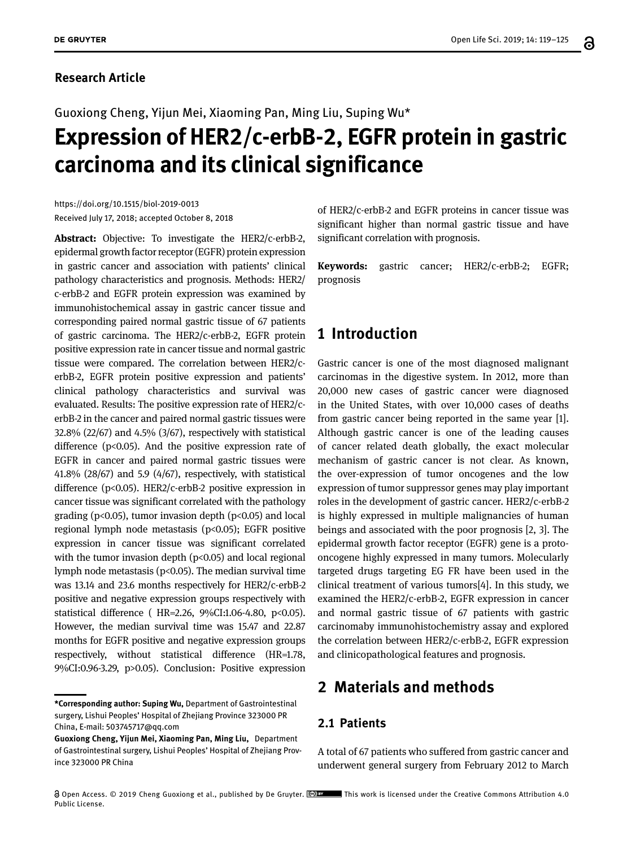### **Research Article**

Guoxiong Cheng, Yijun Mei, Xiaoming Pan, Ming Liu, Suping Wu\*

# **Expression of HER2/c-erbB-2, EGFR protein in gastric carcinoma and its clinical significance**

https://doi.org/10.1515/biol-2019-0013 Received July 17, 2018; accepted October 8, 2018

**Abstract:** Objective: To investigate the HER2/c-erbB-2, epidermal growth factor receptor (EGFR) protein expression in gastric cancer and association with patients' clinical pathology characteristics and prognosis. Methods: HER2/ c-erbB-2 and EGFR protein expression was examined by immunohistochemical assay in gastric cancer tissue and corresponding paired normal gastric tissue of 67 patients of gastric carcinoma. The HER2/c-erbB-2, EGFR protein positive expression rate in cancer tissue and normal gastric tissue were compared. The correlation between HER2/cerbB-2, EGFR protein positive expression and patients' clinical pathology characteristics and survival was evaluated. Results: The positive expression rate of HER2/cerbB-2 in the cancer and paired normal gastric tissues were 32.8% (22/67) and 4.5% (3/67), respectively with statistical difference ( $p<0.05$ ). And the positive expression rate of EGFR in cancer and paired normal gastric tissues were 41.8% (28/67) and 5.9 (4/67), respectively, with statistical difference (p<0.05). HER2/c-erbB-2 positive expression in cancer tissue was significant correlated with the pathology grading ( $p<0.05$ ), tumor invasion depth ( $p<0.05$ ) and local regional lymph node metastasis ( $p$ <0.05); EGFR positive expression in cancer tissue was significant correlated with the tumor invasion depth ( $p$ <0.05) and local regional lymph node metastasis (p<0.05). The median survival time was 13.14 and 23.6 months respectively for HER2/c-erbB-2 positive and negative expression groups respectively with statistical difference ( HR=2.26, 9%CI:1.06-4.80, p<0.05). However, the median survival time was 15.47 and 22.87 months for EGFR positive and negative expression groups respectively, without statistical difference (HR=1.78, 9%CI:0.96-3.29, p>0.05). Conclusion: Positive expression

of HER2/c-erbB-2 and EGFR proteins in cancer tissue was significant higher than normal gastric tissue and have significant correlation with prognosis.

**Keywords:** gastric cancer; HER2/c-erbB-2; EGFR; prognosis

## **1 Introduction**

Gastric cancer is one of the most diagnosed malignant carcinomas in the digestive system. In 2012, more than 20,000 new cases of gastric cancer were diagnosed in the United States, with over 10,000 cases of deaths from gastric cancer being reported in the same year [1]. Although gastric cancer is one of the leading causes of cancer related death globally, the exact molecular mechanism of gastric cancer is not clear. As known, the over-expression of tumor oncogenes and the low expression of tumor suppressor genes may play important roles in the development of gastric cancer. HER2/c-erbB-2 is highly expressed in multiple malignancies of human beings and associated with the poor prognosis [2, 3]. The epidermal growth factor receptor (EGFR) gene is a protooncogene highly expressed in many tumors. Molecularly targeted drugs targeting EG FR have been used in the clinical treatment of various tumors[4]. In this study, we examined the HER2/c-erbB-2, EGFR expression in cancer and normal gastric tissue of 67 patients with gastric carcinomaby immunohistochemistry assay and explored the correlation between HER2/c-erbB-2, EGFR expression and clinicopathological features and prognosis.

# **2 Materials and methods**

#### **2.1 Patients**

A total of 67 patients who suffered from gastric cancer and underwent general surgery from February 2012 to March

**<sup>\*</sup>Corresponding author: Suping Wu,** Department of Gastrointestinal surgery, Lishui Peoples' Hospital of Zhejiang Province 323000 PR China, E-mail: 503745717@qq.com

**Guoxiong Cheng, Yijun Mei, Xiaoming Pan, Ming Liu,** Department of Gastrointestinal surgery, Lishui Peoples' Hospital of Zhejiang Province 323000 PR China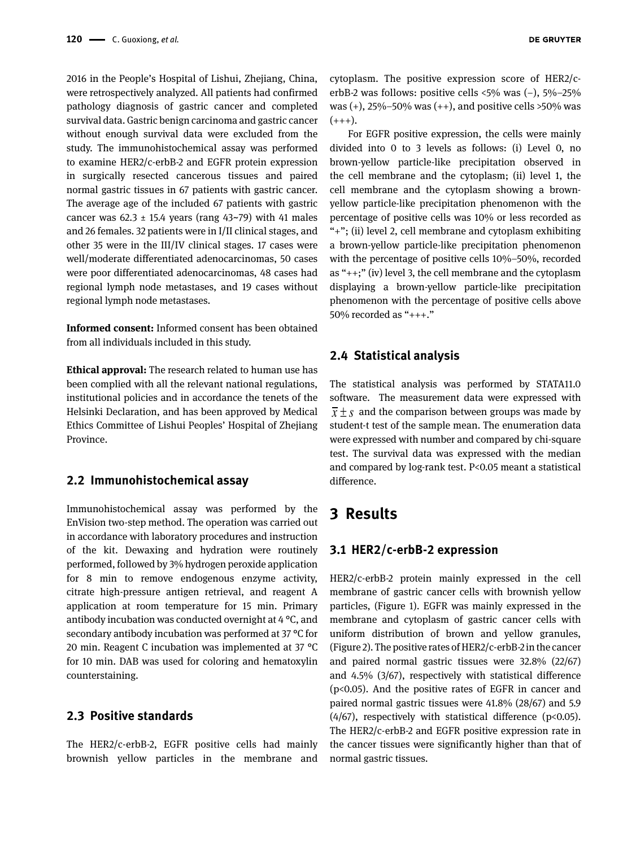2016 in the People's Hospital of Lishui, Zhejiang, China, were retrospectively analyzed. All patients had confirmed pathology diagnosis of gastric cancer and completed survival data. Gastric benign carcinoma and gastric cancer without enough survival data were excluded from the study. The immunohistochemical assay was performed to examine HER2/c-erbB-2 and EGFR protein expression in surgically resected cancerous tissues and paired normal gastric tissues in 67 patients with gastric cancer. The average age of the included 67 patients with gastric cancer was  $62.3 \pm 15.4$  years (rang  $43\negmedspace\negmedspace\negmedspace\negmedspace\leftarrow 79$ ) with  $41$  males and 26 females. 32 patients were in I/II clinical stages, and other 35 were in the III/IV clinical stages. 17 cases were well/moderate differentiated adenocarcinomas, 50 cases were poor differentiated adenocarcinomas, 48 cases had regional lymph node metastases, and 19 cases without regional lymph node metastases.

**Informed consent:** Informed consent has been obtained from all individuals included in this study.

**Ethical approval:** The research related to human use has been complied with all the relevant national regulations, institutional policies and in accordance the tenets of the Helsinki Declaration, and has been approved by Medical Ethics Committee of Lishui Peoples' Hospital of Zhejiang Province.

#### **2.2 Immunohistochemical assay**

Immunohistochemical assay was performed by the EnVision two-step method. The operation was carried out in accordance with laboratory procedures and instruction of the kit. Dewaxing and hydration were routinely performed, followed by 3% hydrogen peroxide application for 8 min to remove endogenous enzyme activity, citrate high-pressure antigen retrieval, and reagent A application at room temperature for 15 min. Primary antibody incubation was conducted overnight at 4 °C, and secondary antibody incubation was performed at 37 °C for 20 min. Reagent C incubation was implemented at 37 °C for 10 min. DAB was used for coloring and hematoxylin counterstaining.

#### **2.3 Positive standards**

The HER2/c-erbB-2, EGFR positive cells had mainly brownish yellow particles in the membrane and cytoplasm. The positive expression score of HER2/cerbB-2 was follows: positive cells <5% was (−), 5%–25% was  $(+)$ , 25%–50% was  $(+)$ , and positive cells >50% was  $(+++)$ .

For EGFR positive expression, the cells were mainly divided into 0 to 3 levels as follows: (i) Level 0, no brown-yellow particle-like precipitation observed in the cell membrane and the cytoplasm; (ii) level 1, the cell membrane and the cytoplasm showing a brownyellow particle-like precipitation phenomenon with the percentage of positive cells was 10% or less recorded as "+"; (ii) level 2, cell membrane and cytoplasm exhibiting a brown-yellow particle-like precipitation phenomenon with the percentage of positive cells 10%–50%, recorded as "++;" (iv) level 3, the cell membrane and the cytoplasm displaying a brown-yellow particle-like precipitation phenomenon with the percentage of positive cells above 50% recorded as "+++."

#### **2.4 Statistical analysis**

The statistical analysis was performed by STATA11.0 software. The measurement data were expressed with  $\overline{x}$  + *s* and the comparison between groups was made by student-t test of the sample mean. The enumeration data were expressed with number and compared by chi-square test. The survival data was expressed with the median and compared by log-rank test. P<0.05 meant a statistical difference.

## **3 Results**

#### **3.1 HER2/c-erbB-2 expression**

HER2/c-erbB-2 protein mainly expressed in the cell membrane of gastric cancer cells with brownish yellow particles, (Figure 1). EGFR was mainly expressed in the membrane and cytoplasm of gastric cancer cells with uniform distribution of brown and yellow granules, (Figure 2). The positive rates of HER2/c-erbB-2 in the cancer and paired normal gastric tissues were 32.8% (22/67) and 4.5% (3/67), respectively with statistical difference (p<0.05). And the positive rates of EGFR in cancer and paired normal gastric tissues were 41.8% (28/67) and 5.9 (4/67), respectively with statistical difference (p<0.05). The HER2/c-erbB-2 and EGFR positive expression rate in the cancer tissues were significantly higher than that of normal gastric tissues.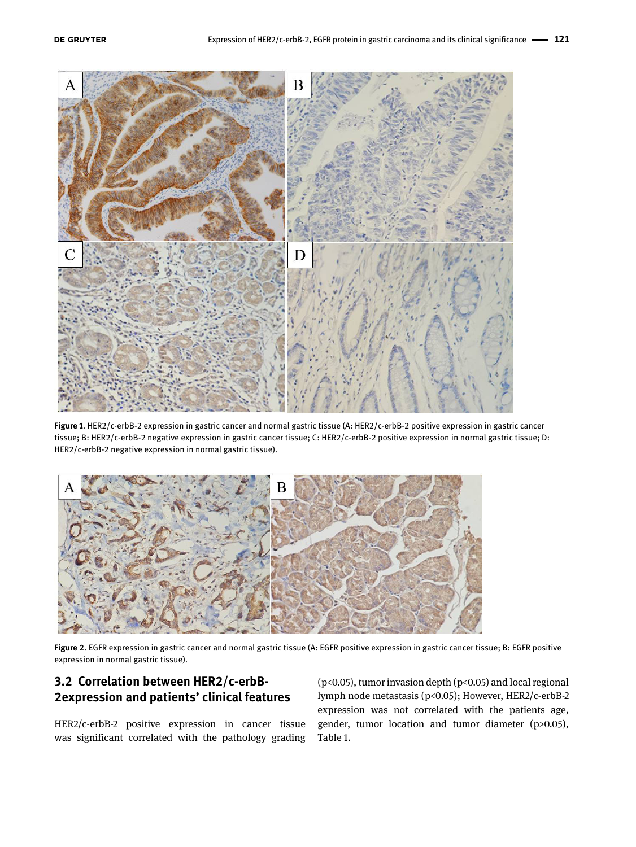

**Figure 1**. HER2/c-erbB-2 expression in gastric cancer and normal gastric tissue (A: HER2/c-erbB-2 positive expression in gastric cancer tissue; B: HER2/c-erbB-2 negative expression in gastric cancer tissue; C: HER2/c-erbB-2 positive expression in normal gastric tissue; D: HER2/c-erbB-2 negative expression in normal gastric tissue).



**Figure 2**. EGFR expression in gastric cancer and normal gastric tissue (A: EGFR positive expression in gastric cancer tissue; B: EGFR positive expression in normal gastric tissue).

## **3.2 Correlation between HER2/c-erbB-2expression and patients' clinical features**

HER2/c-erbB-2 positive expression in cancer tissue was significant correlated with the pathology grading (p<0.05), tumor invasion depth (p<0.05) and local regional lymph node metastasis (p<0.05); However, HER2/c-erbB-2 expression was not correlated with the patients age, gender, tumor location and tumor diameter (p>0.05), Table 1.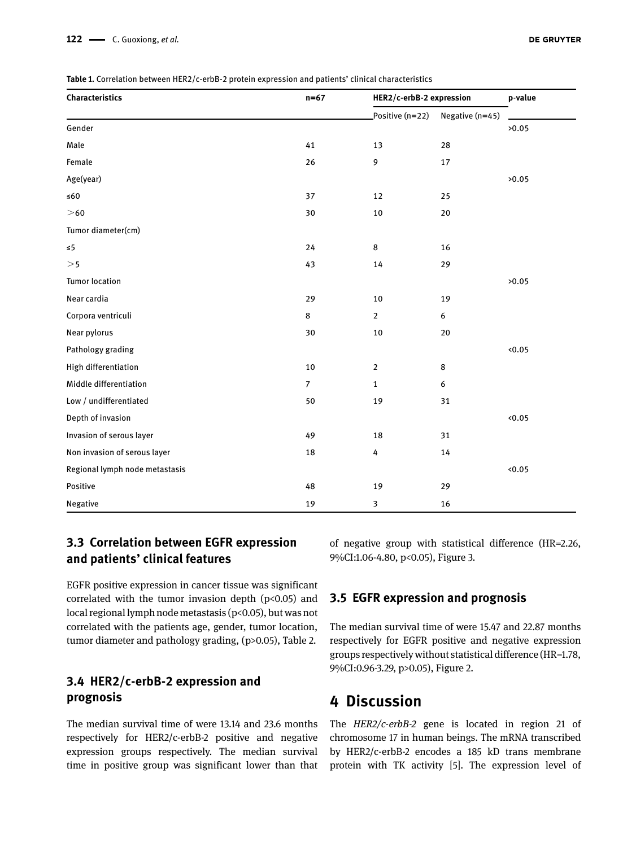**Table 1.** Correlation between HER2/c-erbB-2 protein expression and patients' clinical characteristics

| Characteristics                | $n=67$         | HER2/c-erbB-2 expression |                  | p-value |
|--------------------------------|----------------|--------------------------|------------------|---------|
|                                |                | Positive (n=22)          | Negative (n=45)  |         |
| Gender                         |                |                          |                  | >0.05   |
| Male                           | 41             | 13                       | 28               |         |
| Female                         | 26             | 9                        | 17               |         |
| Age(year)                      |                |                          |                  | >0.05   |
| ${\leq}60$                     | 37             | 12                       | 25               |         |
| $>\!60$                        | 30             | $10\,$                   | 20               |         |
| Tumor diameter(cm)             |                |                          |                  |         |
| $\leq 5$                       | 24             | 8                        | 16               |         |
| >5                             | 43             | 14                       | 29               |         |
| <b>Tumor location</b>          |                |                          |                  | >0.05   |
| Near cardia                    | 29             | $10\,$                   | 19               |         |
| Corpora ventriculi             | 8              | $\overline{2}$           | 6                |         |
| Near pylorus                   | 30             | $10\,$                   | $20\,$           |         |
| Pathology grading              |                |                          |                  | <0.05   |
| High differentiation           | 10             | $\overline{2}$           | 8                |         |
| Middle differentiation         | $\overline{7}$ | $\mathbf{1}$             | $\boldsymbol{6}$ |         |
| Low / undifferentiated         | 50             | 19                       | 31               |         |
| Depth of invasion              |                |                          |                  | 0.05    |
| Invasion of serous layer       | 49             | 18                       | 31               |         |
| Non invasion of serous layer   | 18             | 4                        | 14               |         |
| Regional lymph node metastasis |                |                          |                  | 0.05    |
| Positive                       | 48             | 19                       | 29               |         |
| Negative                       | 19             | 3                        | 16               |         |

## **3.3 Correlation between EGFR expression and patients' clinical features**

EGFR positive expression in cancer tissue was significant correlated with the tumor invasion depth  $(p<0.05)$  and local regional lymph node metastasis (p<0.05), but was not correlated with the patients age, gender, tumor location, tumor diameter and pathology grading, (p>0.05), Table 2.

## **3.4 HER2/c-erbB-2 expression and prognosis**

The median survival time of were 13.14 and 23.6 months respectively for HER2/c-erbB-2 positive and negative expression groups respectively. The median survival time in positive group was significant lower than that

of negative group with statistical difference (HR=2.26, 9%CI:1.06-4.80, p<0.05), Figure 3.

## **3.5 EGFR expression and prognosis**

The median survival time of were 15.47 and 22.87 months respectively for EGFR positive and negative expression groups respectively without statistical difference (HR=1.78, 9%CI:0.96-3.29, p>0.05), Figure 2.

# **4 Discussion**

The *HER2/c-erbB-2* gene is located in region 21 of chromosome 17 in human beings. The mRNA transcribed by HER2/c-erbB-2 encodes a 185 kD trans membrane protein with TK activity [5]. The expression level of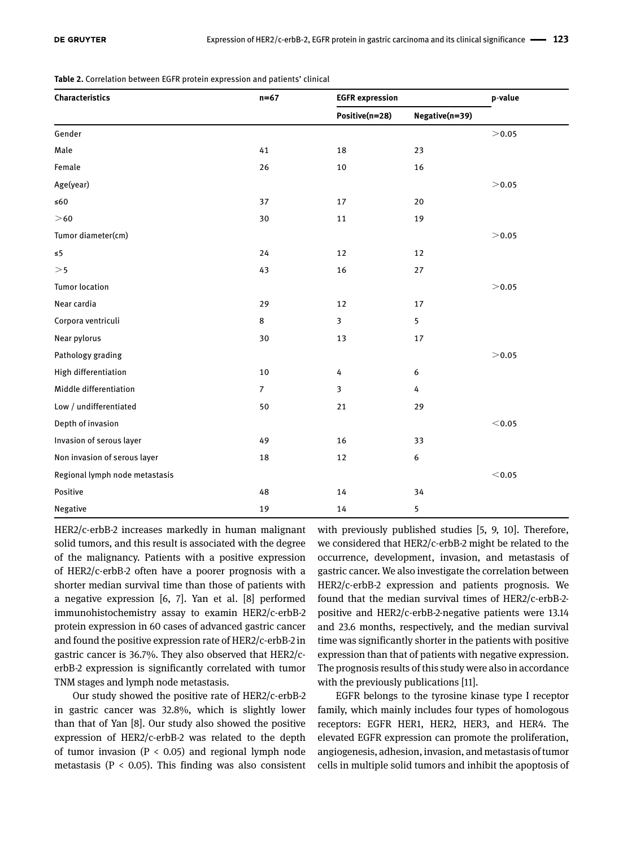**Table 2.** Correlation between EGFR protein expression and patients' clinical

| Characteristics                | $n=67$         | <b>EGFR</b> expression |                | p-value       |
|--------------------------------|----------------|------------------------|----------------|---------------|
|                                |                | Positive(n=28)         | Negative(n=39) |               |
| Gender                         |                |                        |                | $>\!\!0.05$   |
| Male                           | 41             | 18                     | 23             |               |
| Female                         | 26             | 10                     | 16             |               |
| Age(year)                      |                |                        |                | >0.05         |
| $\leq 60$                      | 37             | 17                     | 20             |               |
| >60                            | 30             | $11\,$                 | 19             |               |
| Tumor diameter(cm)             |                |                        |                | > 0.05        |
| $\leq 5$                       | 24             | 12                     | 12             |               |
| >5                             | 43             | 16                     | 27             |               |
| <b>Tumor location</b>          |                |                        |                | >0.05         |
| Near cardia                    | 29             | 12                     | 17             |               |
| Corpora ventriculi             | 8              | 3                      | $\overline{5}$ |               |
| Near pylorus                   | $30\,$         | 13                     | 17             |               |
| Pathology grading              |                |                        |                | > 0.05        |
| High differentiation           | 10             | 4                      | 6              |               |
| Middle differentiation         | $\overline{7}$ | $\mathbf{3}$           | 4              |               |
| Low / undifferentiated         | 50             | 21                     | 29             |               |
| Depth of invasion              |                |                        |                | $<$ 0.05      |
| Invasion of serous layer       | 49             | 16                     | 33             |               |
| Non invasion of serous layer   | 18             | 12                     | 6              |               |
| Regional lymph node metastasis |                |                        |                | $<$ 0.05 $\,$ |
| Positive                       | 48             | 14                     | 34             |               |
| Negative                       | 19             | 14                     | 5              |               |

HER2/c-erbB-2 increases markedly in human malignant solid tumors, and this result is associated with the degree of the malignancy. Patients with a positive expression of HER2/c-erbB-2 often have a poorer prognosis with a shorter median survival time than those of patients with a negative expression [6, 7]. Yan et al. [8] performed immunohistochemistry assay to examin HER2/c-erbB-2 protein expression in 60 cases of advanced gastric cancer and found the positive expression rate of HER2/c-erbB-2 in gastric cancer is 36.7%. They also observed that HER2/cerbB-2 expression is significantly correlated with tumor TNM stages and lymph node metastasis.

Our study showed the positive rate of HER2/c-erbB-2 in gastric cancer was 32.8%, which is slightly lower than that of Yan [8]. Our study also showed the positive expression of HER2/c-erbB-2 was related to the depth of tumor invasion ( $P < 0.05$ ) and regional lymph node metastasis ( $P < 0.05$ ). This finding was also consistent

with previously published studies [5, 9, 10]. Therefore, we considered that HER2/c-erbB-2 might be related to the occurrence, development, invasion, and metastasis of gastric cancer. We also investigate the correlation between HER2/c-erbB-2 expression and patients prognosis. We found that the median survival times of HER2/c-erbB-2 positive and HER2/c-erbB-2-negative patients were 13.14 and 23.6 months, respectively, and the median survival time was significantly shorter in the patients with positive expression than that of patients with negative expression. The prognosis results of this study were also in accordance with the previously publications [11].

EGFR belongs to the tyrosine kinase type I receptor family, which mainly includes four types of homologous receptors: EGFR HER1, HER2, HER3, and HER4. The elevated EGFR expression can promote the proliferation, angiogenesis, adhesion, invasion, and metastasis of tumor cells in multiple solid tumors and inhibit the apoptosis of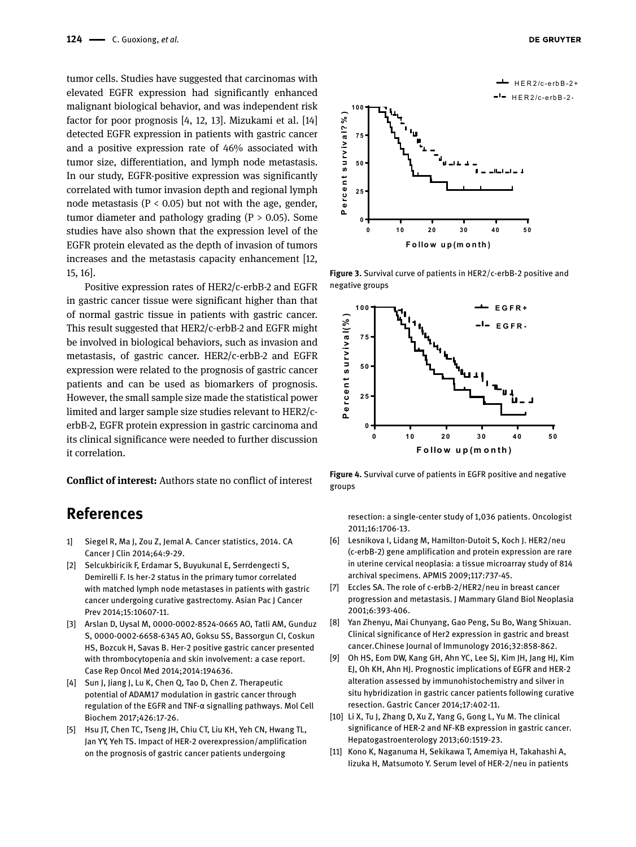tumor cells. Studies have suggested that carcinomas with elevated EGFR expression had significantly enhanced malignant biological behavior, and was independent risk factor for poor prognosis [4, 12, 13]. Mizukami et al. [14] detected EGFR expression in patients with gastric cancer and a positive expression rate of 46% associated with tumor size, differentiation, and lymph node metastasis. In our study, EGFR-positive expression was significantly correlated with tumor invasion depth and regional lymph node metastasis ( $P < 0.05$ ) but not with the age, gender, tumor diameter and pathology grading  $(P > 0.05)$ . Some studies have also shown that the expression level of the EGFR protein elevated as the depth of invasion of tumors increases and the metastasis capacity enhancement [12, 15, 16].

Positive expression rates of HER2/c-erbB-2 and EGFR in gastric cancer tissue were significant higher than that of normal gastric tissue in patients with gastric cancer. This result suggested that HER2/c-erbB-2 and EGFR might be involved in biological behaviors, such as invasion and metastasis, of gastric cancer. HER2/c-erbB-2 and EGFR expression were related to the prognosis of gastric cancer patients and can be used as biomarkers of prognosis. However, the small sample size made the statistical power limited and larger sample size studies relevant to HER2/cerbB-2, EGFR protein expression in gastric carcinoma and its clinical significance were needed to further discussion it correlation.

**Conflict of interest:** Authors state no conflict of interest

# **References**

- 1] Siegel R, Ma J, Zou Z, Jemal A. Cancer statistics, 2014. CA Cancer J Clin 2014;64:9-29.
- [2] Selcukbiricik F, Erdamar S, Buyukunal E, Serrdengecti S, Demirelli F. Is her-2 status in the primary tumor correlated with matched lymph node metastases in patients with gastric cancer undergoing curative gastrectomy. Asian Pac J Cancer Prev 2014;15:10607-11.
- [3] Arslan D, Uysal M, 0000-0002-8524-0665 AO, Tatli AM, Gunduz S, 0000-0002-6658-6345 AO, Goksu SS, Bassorgun CI, Coskun HS, Bozcuk H, Savas B. Her-2 positive gastric cancer presented with thrombocytopenia and skin involvement: a case report. Case Rep Oncol Med 2014;2014:194636.
- [4] Sun J, Jiang J, Lu K, Chen Q, Tao D, Chen Z. Therapeutic potential of ADAM17 modulation in gastric cancer through regulation of the EGFR and TNF-α signalling pathways. Mol Cell Biochem 2017;426:17-26.
- [5] Hsu JT, Chen TC, Tseng JH, Chiu CT, Liu KH, Yeh CN, Hwang TL, Jan YY, Yeh TS. Impact of HER-2 overexpression/amplification on the prognosis of gastric cancer patients undergoing





**Figure 3.** Survival curve of patients in HER2/c-erbB-2 positive and negative groups



**Figure 4.** Survival curve of patients in EGFR positive and negative groups

resection: a single-center study of 1,036 patients. Oncologist 2011;16:1706-13.

- [6] Lesnikova I, Lidang M, Hamilton-Dutoit S, Koch J. HER2/neu (c-erbB-2) gene amplification and protein expression are rare in uterine cervical neoplasia: a tissue microarray study of 814 archival specimens. APMIS 2009;117:737-45.
- [7] Eccles SA. The role of c-erbB-2/HER2/neu in breast cancer progression and metastasis. J Mammary Gland Biol Neoplasia 2001;6:393-406.
- [8] Yan Zhenyu, Mai Chunyang, Gao Peng, Su Bo, Wang Shixuan. Clinical significance of Her2 expression in gastric and breast cancer.Chinese Journal of Immunology 2016;32:858-862.
- [9] Oh HS, Eom DW, Kang GH, Ahn YC, Lee SJ, Kim JH, Jang HJ, Kim EJ, Oh KH, Ahn HJ. Prognostic implications of EGFR and HER-2 alteration assessed by immunohistochemistry and silver in situ hybridization in gastric cancer patients following curative resection. Gastric Cancer 2014;17:402-11.
- [10] Li X, Tu J, Zhang D, Xu Z, Yang G, Gong L, Yu M. The clinical significance of HER-2 and NF-KB expression in gastric cancer. Hepatogastroenterology 2013;60:1519-23.
- [11] Kono K, Naganuma H, Sekikawa T, Amemiya H, Takahashi A, Iizuka H, Matsumoto Y. Serum level of HER-2/neu in patients